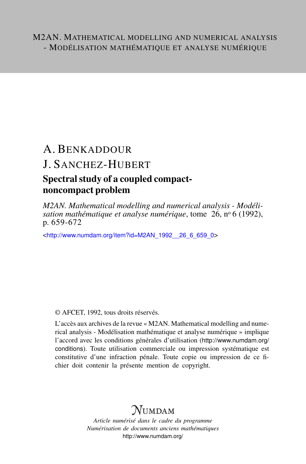# A. BENKADDOUR J. SANCHEZ-HUBERT

### Spectral study of a coupled compactnoncompact problem

*M2AN. Mathematical modelling and numerical analysis - Modélisation mathématique et analyse numérique*, tome 26, nº 6 (1992), p. 659-672

<[http://www.numdam.org/item?id=M2AN\\_1992\\_\\_26\\_6\\_659\\_0](http://www.numdam.org/item?id=M2AN_1992__26_6_659_0)>

© AFCET, 1992, tous droits réservés.

L'accès aux archives de la revue « M2AN. Mathematical modelling and numerical analysis - Modélisation mathématique et analyse numérique » implique l'accord avec les conditions générales d'utilisation ([http://www.numdam.org/](http://www.numdam.org/conditions) [conditions](http://www.numdam.org/conditions)). Toute utilisation commerciale ou impression systématique est constitutive d'une infraction pénale. Toute copie ou impression de ce fichier doit contenir la présente mention de copyright.

## $\mathcal{N}$ umdam

*Article numérisé dans le cadre du programme Numérisation de documents anciens mathématiques* <http://www.numdam.org/>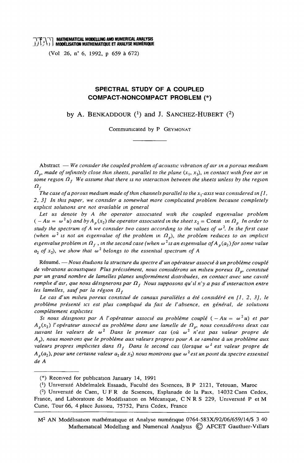TTP<br>T\T\T\MATHEMATICAL MODELLING AND NUMERICAL ANALYSIS<br>{}/\;\*\}} MODÉLISATION MATHEMATIQUE ET ANALYSE NUMÉRIQUE

(Vol 26, n° 6, 1992, p 659 à 672)

### SPECTRAL STUDY OF A COUPLED **COMPACT-NONCOMPACT PROBLEM (\*)**

by A. BENKADDOUR  $(1)$  and J. SANCHEZ-HUBERT  $(2)$ 

Communicated by P GEYMONAT

Abstract  $-$  We consider the coupled problem of acoustic vibration of air in a porous medium  $\Omega_n$ , made of infinitely close thin sheets, parallel to the plane  $(x_1, x_3)$ , in contact with free air in some region  $\Omega_t$ . We assume that there is no interaction between the sheets unless by the region  $\overline{a}_{f}$ 

The case of a porous medium made of thin channels parallel to the  $x$ -axis was considered in [1, 2, 3] In this paper, we consider a somewhat more complicated problem because completely explicit solutions are not available in general

Let us denote by A the operator associated with the coupled eigenvalue problem  $(-Au = \omega^2 u)$  and by  $A_n(x_2)$  the operator associated in the sheet  $x_2 =$  Const in  $\Omega_n$  In order to study the spectrum of A we consider two cases according to the values of  $\omega^2$ . In the first case (when  $\omega^2$  is not an eigenvalue of the problem in  $\Omega_n$ ), the problem reduces to an implicit eigenvalue problem in  $\Omega_i$ , in the second case (when  $\omega^2$  is an eigenvalue of A<sub>n</sub>(a<sub>2</sub>) for some value  $a_2$  of x<sub>2</sub>), we show that  $\omega^2$  belongs to the essential spectrum of A

Résumé. - Nous étudions la structure du spectre d'un opérateur associé à un problème couplé de vibrations acoustiques Plus précisément, nous considérons un milieu poreux  $\Omega_n$ , constitué par un grand nombre de lamelles planes uniformément distribuées, en contact avec une cavité remplie d'air, que nous désignerons par  $\Omega_t$ , Nous supposons qu'il n'y a pas d'interaction entre les lamelles, sauf par la région  $\Omega_f$ 

Le cas d'un milieu poreux constitué de canaux parallèles a été considéré en [1, 2, 3], le problème présenté ici est plus compliqué du fait de l'absence, en général, de solutions complètement explicites

Si nous désignons par A l'opérateur associé au problème couplé  $(-Au = \omega^2 u)$  et par  $A_p(x_2)$  l'opérateur associé au problème dans une lamelle de  $\Omega_p$ , nous considérons deux cas suivant les valeurs de  $\omega^2$  Dans le premier cas (où  $\omega^2$  n'est pas valeur propre de A<sub>n</sub>), nous montrons que le problème aux valeurs propres pour A se ramène à un problème aux valeurs propres implicites dans  $\Omega_t$ . Dans le second cas (lorsque  $\omega^2$  est valeur propre de  $A_n(a_2)$ , pour une certaine valeur  $a_2$  de  $x_2$ ) nous montrons que  $\omega^2$  est un point du spectre essentiel de A

<sup>(\*)</sup> Received for publication January 14, 1991

<sup>(&</sup>lt;sup>1</sup>) Université Abdelmalek Essaadi, Faculté des Sciences, B P 2121, Tetouan, Maroc

<sup>(&</sup>lt;sup>2</sup>) Université de Caen, U F R de Sciences, Esplanade de la Paix, 14032 Caen Cedex, France, and Laboratoire de Modélisation en Mécanique, CNRS 229, Université P et M Curie, Tour 66, 4 place Jussieu, 75752, Paris Cedex, France

M<sup>2</sup> AN Modélisation mathématique et Analyse numérique 0764-583X/92/06/659/14/\$ 3 40 Mathematical Modelling and Numerical Analysis C AFCET Gauthier-Villars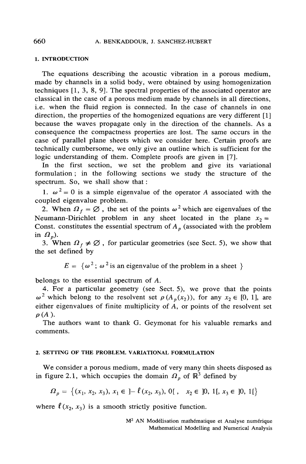#### 1. INTRODUCTION

The equations describing the acoustic vibration in a porous medium, made by channels in a solid body, were obtained by using homogenization techniques  $[1, 3, 8, 9]$ . The spectral properties of the associated operator are classical in the case of a porous medium made by channels in all directions. i.e. when the fluid region is connected. In the case of channels in one direction, the properties of the homogenized equations are very different [1] because the waves propagate only in the direction of the channels. As a consequence the compactness properties are lost. The same occurs in the case of parallel plane sheets which we consider here. Certain proofs are technically cumbersome, we only give an outline which is sufficient for the logic understanding of them. Complete proofs are given in [7].

In the first section, we set the problem and give its variational formulation; in the following sections we study the structure of the spectrum. So, we shall show that:

1.  $\omega^2 = 0$  is a simple eigenvalue of the operator A associated with the coupled eigenvalue problem.

2. When  $\Omega_f = \emptyset$ , the set of the points  $\omega^2$  which are eigenvalues of the Neumann-Dirichlet problem in any sheet located in the plane  $x_2 =$ Const. constitutes the essential spectrum of  $A_n$  (associated with the problem in  $\Omega_n$ ).

3. When  $\Omega_f \neq \emptyset$ , for particular geometries (see Sect. 5), we show that the set defined by

 $E = {\omega^2$ ;  ${\omega^2}$  is an eigenvalue of the problem in a sheet }

belongs to the essential spectrum of A.

4. For a particular geometry (see Sect. 5), we prove that the points  $\omega^2$  which belong to the resolvent set  $\rho(A_p(x_2))$ , for any  $x_2 \in [0, 1]$ , are either eigenvalues of finite multiplicity of  $A$ , or points of the resolvent set  $\rho(A)$ .

The authors want to thank G. Geymonat for his valuable remarks and comments.

#### 2. SETTING OF THE PROBLEM. VARIATIONAL FORMULATION

We consider a porous medium, made of very many thin sheets disposed as in figure 2.1, which occupies the domain  $\Omega_n$  of  $\mathbb{R}^3$  defined by

$$
\Omega_p = \left\{ (x_1, x_2, x_3), x_1 \in \left] - \ell(x_2, x_3), 0 \right[ , x_2 \in [0, 1[, x_3 \in [0, 1[
$$

where  $\ell(x_2, x_3)$  is a smooth strictly positive function.

M<sup>2</sup> AN Modélisation mathématique et Analyse numérique Mathematical Modelling and Numerical Analysis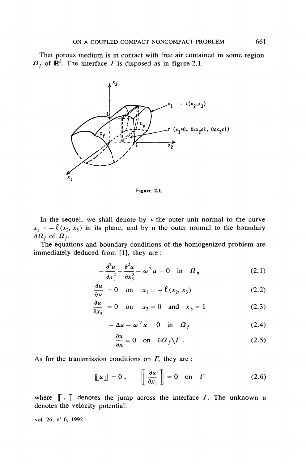That porous medium is in contact with free air contained in some region  $\Omega_f$  of  $\mathbb{R}^3$ . The interface  $\Gamma$  is disposed as in figure 2.1.



Figure 2.1.

In the sequel, we shall denote by  $\nu$  the outer unit normal to the curve  $x_1 = -\ell (x_2, x_3)$  in its plane, and by n the outer normal to the boundary  $\partial \Omega_f$  of  $\Omega_f$ .

The equations and boundary conditions of the homogenized problem are immediately deduced from [1], they are :

$$
-\frac{\partial^2 u}{\partial x_1^2} - \frac{\partial^2 u}{\partial x_3^2} - \omega^2 u = 0 \quad \text{in} \quad \Omega_p \tag{2.1}
$$

$$
\frac{\partial u}{\partial \nu} = 0 \quad \text{on} \quad x_1 = -\ell \left( x_2, x_3 \right) \tag{2.2}
$$

$$
\frac{\partial u}{\partial x_3} = 0 \quad \text{on} \quad x_3 = 0 \quad \text{and} \quad x_3 = 1 \tag{2.3}
$$

$$
-\Delta u - \omega^2 u = 0 \quad \text{in} \quad \Omega_f \tag{2.4}
$$

$$
\frac{\partial u}{\partial n} = 0 \quad \text{on} \quad \partial \Omega_f \backslash \Gamma \,. \tag{2.5}
$$

As for the transmission conditions on  $\Gamma$ , they are :

$$
\llbracket u \rrbracket = 0 , \qquad \llbracket \frac{\partial u}{\partial x_1} \rrbracket = 0 \quad \text{on} \quad \Gamma \tag{2.6}
$$

where  $\lbrack \lbrack \cdot \rbrack \rbrack$  denotes the jump across the interface  $\Gamma$ . The unknown u denotes the velocity potential.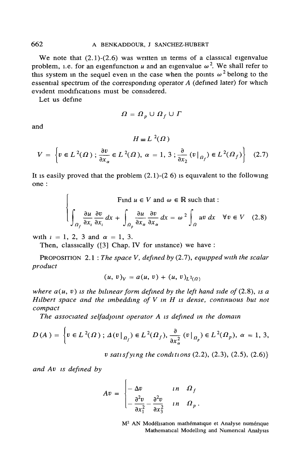We note that  $(2,1)-(2,6)$  was written in terms of a classical eigenvalue problem, i.e. for an eigenfunction u and an eigenvalue  $\omega^2$ . We shall refer to this system in the sequel even in the case when the points  $\omega^2$  belong to the essential spectrum of the corresponding operator  $A$  (defined later) for which evident modifications must be considered.

Let us define

$$
\Omega = \Omega_{n} \cup \Omega_{f} \cup \Gamma
$$

and

 $H = L^2(\Omega)$  $V = \left\{ v \in L^2(\Omega) \; ; \; \frac{\partial v}{\partial x} \in L^2(\Omega), \; \alpha = 1, \, 3 \; ; \frac{\partial}{\partial x_2}(v \big|_{\mathcal{U}_f}) \in L^2(\Omega_f) \right\} \eqno{(2.7)}$ 

It is easily proved that the problem  $(2.1)-(2.6)$  is equivalent to the following one:

Find  $u \in V$  and  $\omega \in \mathbb{R}$  such that :<br>  $\left\{\int_{\Omega} \frac{\partial u}{\partial x_i} \frac{\partial v}{\partial x_i} dx + \int_{\Omega} \frac{\partial u}{\partial x_{\alpha}} \frac{\partial v}{\partial x_{\alpha}} dx = \omega^2 \int_{\Omega} uv dx \quad \forall v \in V$  (2.8)

with  $i = 1, 2, 3$  and  $\alpha = 1, 3$ .

Then, classically ([3] Chap. IV for instance) we have:

PROPOSITION 2.1 : The space V, defined by  $(2.7)$ , equipped with the scalar product

$$
(u, v)_V = a(u, v) + (u, v)_{L^2(\Omega)}
$$

where  $a(u, v)$  is the bilinear form defined by the left hand side of (2.8), is a Hilbert space and the imbedding of  $V$  in  $H$  is dense, continuous but not compact

The associated selfadjoint operator A is defined in the domain

$$
D(A) = \left\{ v \in L^{2}(\Omega) ; \Delta(v|_{\Omega_{f}}) \in L^{2}(\Omega_{f}), \frac{\partial}{\partial x_{\alpha}^{2}}(v|_{\Omega_{p}}) \in L^{2}(\Omega_{p}), \alpha = 1, 3, \right\}
$$

v satisfying the conditions  $(2.2)$ ,  $(2.3)$ ,  $(2.5)$ ,  $(2.6)$ }

and Av is defined by

$$
Av = \begin{cases} -\Delta v & \text{in} & \Omega_f \\ -\frac{\partial^2 v}{\partial x_1^2} - \frac{\partial^2 v}{\partial x_3^2} & \text{in} & \Omega_p \end{cases}.
$$

M<sup>2</sup> AN Modélisation mathématique et Analyse numérique Mathematical Modelling and Numerical Analysis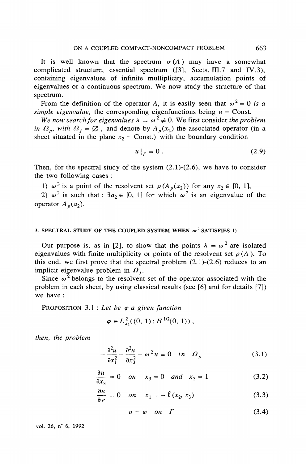It is well known that the spectrum  $\sigma(A)$  may have a somewhat complicated structure, essential spectrum ([3], Sects. III.7 and IV.3), containing eigenvalues of infinite multiplicity, accumulation points of eigenvalues or a continuous spectrum. We now study the structure of that spectrum.

From the definition of the operator A, it is easily seen that  $\omega^2 = 0$  is a simple eigenvalue, the corresponding eigenfunctions being  $u =$  Const.

We now search for eigenvalues  $\lambda = \omega^2 \neq 0$ . We first consider the problem in  $\Omega_n$ , with  $\Omega_f = \emptyset$ , and denote by  $A_n(x_2)$  the associated operator (in a sheet situated in the plane  $x_2$  = Const.) with the boundary condition

$$
u\big|_{\Gamma} = 0\tag{2.9}
$$

Then, for the spectral study of the system  $(2.1)-(2.6)$ , we have to consider the two following cases:

1)  $\omega^2$  is a point of the resolvent set  $\rho(A_n(x_2))$  for any  $x_2 \in [0, 1]$ ,

2)  $\omega^2$  is such that:  $\exists a_2 \in [0, 1]$  for which  $\omega^2$  is an eigenvalue of the operator  $A_n(a_2)$ .

#### 3. SPECTRAL STUDY OF THE COUPLED SYSTEM WHEN  $\omega^2$  SATISFIES 1)

Our purpose is, as in [2], to show that the points  $\lambda = \omega^2$  are isolated eigenvalues with finite multiplicity or points of the resolvent set  $\rho(A)$ . To this end, we first prove that the spectral problem  $(2.1)-(2.6)$  reduces to an implicit eigenvalue problem in  $\Omega_t$ .

Since  $\omega^2$  belongs to the resolvent set of the operator associated with the problem in each sheet, by using classical results (see [6] and for details [7]) we have:

PROPOSITION 3.1 : Let be  $\varphi$  a given function

$$
\varphi \in L^2_{x_2}((0, 1); H^{1/2}(0, 1)),
$$

then, the problem

$$
-\frac{\partial^2 u}{\partial x_1^2} - \frac{\partial^2 u}{\partial x_3^2} - \omega^2 u = 0 \quad in \quad \Omega_p \tag{3.1}
$$

$$
\frac{\partial u}{\partial x_3} = 0 \quad on \quad x_3 = 0 \quad and \quad x_3 = 1 \tag{3.2}
$$

$$
\frac{\partial u}{\partial \nu} = 0 \quad on \quad x_1 = -\ell \left( x_2, x_3 \right) \tag{3.3}
$$

$$
u = \varphi \quad on \quad \Gamma \tag{3.4}
$$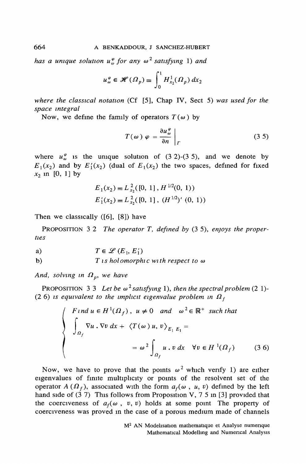has a unique solution  $u_{\omega}^{\varphi}$  for any  $\omega^2$  satisfying 1) and

$$
u_{\omega}^{\varphi} \in \mathscr{H}(\Omega_p) \equiv \int_0^1 H_{x_2}^1(\Omega_p) \, dx_2
$$

where the classical notation (Cf [5], Chap IV, Sect 5) was used for the space integral

Now, we define the family of operators  $T(\omega)$  by

$$
T(\omega) \varphi = \frac{\partial u_{\omega}^{\varphi}}{\partial n} \bigg|_{\Gamma} \tag{3.5}
$$

where  $u_{\omega}^{\varphi}$  is the unique solution of (3 2)-(3 5), and we denote by  $E_1(x_2)$  and by  $E'_1(x_2)$  (dual of  $E_1(x_2)$ ) the two spaces, defined for fixed  $x_2$  in [0, 1] by

$$
E_1(x_2) \equiv L_{x_2}^2([0, 1], H^{1/2}(0, 1))
$$
  

$$
E'_1(x_2) \equiv L_{x_2}^2([0, 1], (H^{1/2})'(0, 1))
$$

Then we classically  $([6], [8])$  have

PROPOSITION 3.2 The operator T, defined by  $(3.5)$ , enjoys the properties

a) 
$$
T \in \mathscr{L}(E_1, E_1')
$$

 $b)$  $T$  is holomorphic with respect to  $\omega$ 

And, solving in  $\Omega_p$ , we have

PROPOSITION 3 3 Let be  $\omega^2$  satisfying 1), then the spectral problem (2 1)-(2.6) is equivalent to the implicit eigenvalue problem in  $\Omega_f$ 

$$
\begin{cases}\nF \text{ and } u \in H^1(\Omega_f), \ u \neq 0 \quad \text{and} \quad \omega^2 \in \mathbb{R}^+ \text{ such that} \\
\int_{\Omega_f} \nabla u \cdot \nabla v \, dx + \langle T(\omega) u, v \rangle_{E_1|E_1} = \\
&= \omega^2 \int_{\Omega_f} u \cdot v \, dx \quad \forall v \in H^1(\Omega_f) \qquad (3.6)\n\end{cases}
$$

Now, we have to prove that the points  $\omega^2$  which verify 1) are either eigenvalues of finite multiplicity or points of the resolvent set of the operator  $A(\Omega_f)$ , associated with the form  $a_f(\omega, u, v)$  defined by the left hand side of  $(3 7)$  This follows from Proposition V, 7 5 in [3] provided that the coerciveness of  $a_f(\omega, v, v)$  holds at some point The property of coerciveness was proved in the case of a porous medium made of channels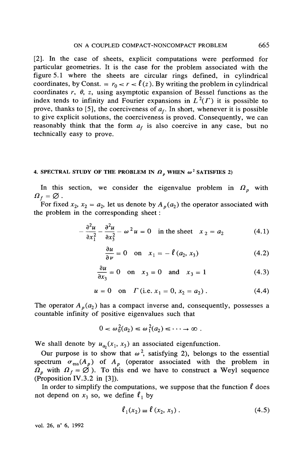[2]. In the case of sheets, explicit computations were performed for particular geometries. It is the case for the problem associated with the figure 5.1 where the sheets are circular rings defined, in cylindrical coordinates, by Const. =  $r_0 < r < l(z)$ . By writing the problem in cylindrical coordinates  $r$ ,  $\theta$ ,  $z$ , using asymptotic expansion of Bessel functions as the index tends to infinity and Fourier expansions in  $L^2(\Gamma)$  it is possible to prove, thanks to [5], the coerciveness of  $a_f$ . In short, whenever it is possible to give explicit solutions, the coerciveness is proved. Consequently, we can reasonably think that the form  $a_f$  is also coercive in any case, but no technically easy to prove.

#### 4. SPECTRAL STUDY OF THE PROBLEM IN  $\Omega$ <sub>n</sub> when  $\omega^2$  SATISFIES 2)

In this section, we consider the eigenvalue problem in  $\Omega_n$  with  $\Omega_f = \varnothing$ .

For fixed  $x_2$ ,  $x_2 = a_2$ , let us denote by  $A_p(a_2)$  the operator associated with the problem in the corresponding sheet:

$$
\frac{\partial^2 u}{\partial x_1^2} - \frac{\partial^2 u}{\partial x_2^2} - \omega^2 u = 0 \quad \text{in the sheet} \quad x_2 = a_2 \tag{4.1}
$$

$$
\frac{\partial u}{\partial \nu} = 0 \quad \text{on} \quad x_1 = -\ell \left( a_2, x_3 \right) \tag{4.2}
$$

$$
\frac{\partial u}{\partial x_3} = 0 \quad \text{on} \quad x_3 = 0 \quad \text{and} \quad x_3 = 1 \tag{4.3}
$$

$$
u = 0 \quad \text{on} \quad \Gamma \text{ (i.e. } x_1 = 0, x_2 = a_2) \,. \tag{4.4}
$$

The operator  $A_p(a_2)$  has a compact inverse and, consequently, possesses a countable infinity of positive eigenvalues such that

$$
0 < \omega_0^2(a_2) \leq \omega_1^2(a_2) \leq \cdots \to \infty.
$$

We shall denote by  $u_{a_2}(x_1, x_3)$  an associated eigenfunction.

Our purpose is to show that  $\omega^2$ , satisfying 2), belongs to the essential spectrum  $\sigma_{\rm ess}(A_p)$  of  $A_p$  (operator associated with the problem in  $\Omega_p$  with  $\Omega_f = \emptyset$ ). To this end we have to construct a Weyl sequence (Proposition IV.3.2 in  $[3]$ ).

In order to simplify the computations, we suppose that the function  $\ell$  does not depend on  $x_3$  so, we define  $\ell_1$  by

$$
\ell_1(x_2) \equiv \ell(x_2, x_3). \tag{4.5}
$$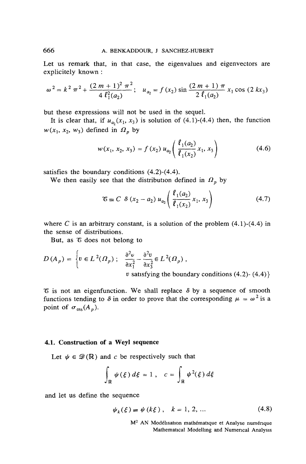Let us remark that, in that case, the eigenvalues and eigenvectors are explicitely known:

$$
\omega^2 = k^2 \pi^2 + \frac{(2 m + 1)^2 \pi^2}{4 \ell_1^2(a_2)}; \quad u_{a_2} = f(x_2) \sin \frac{(2 m + 1) \pi}{2 \ell_1(a_2)} x_1 \cos (2 k x_3)
$$

but these expressions will not be used in the sequel.

It is clear that, if  $u_{a_2}(x_1, x_3)$  is solution of (4.1)-(4.4) then, the function  $w(x_1, x_2, w_3)$  defined in  $\Omega_p$  by

$$
w(x_1, x_2, x_3) = f(x_2) u_{a_2} \left( \frac{\ell_1(a_2)}{\ell_1(x_2)} x_1, x_3 \right)
$$
 (4.6)

satisfies the boundary conditions  $(4.2)-(4.4)$ .

We then easily see that the distribution defined in  $\Omega_n$  by

$$
\mathcal{E} \equiv C \delta \left( x_2 - a_2 \right) u_{a_2} \left( \frac{\ell_1(a_2)}{\ell_1(x_2)} x_1, x_3 \right) \tag{4.7}
$$

where C is an arbitrary constant, is a solution of the problem  $(4.1)$ - $(4.4)$  in the sense of distributions.

But, as & does not belong to

$$
D(A_p) = \begin{cases} v \in L^2(\Omega_p) ; & \frac{\partial^2 v}{\partial x_1^2} - \frac{\partial^2 v}{\partial x_3^2} \in L^2(\Omega_p) , \\ v \text{ satisfying the boundary conditions (4.2) - (4.4)} \end{cases}
$$

 $\mathcal E$  is not an eigenfunction. We shall replace  $\delta$  by a sequence of smooth functions tending to  $\delta$  in order to prove that the corresponding  $\mu = \omega^2$  is a point of  $\sigma_{\text{ess}}(A_p)$ .

#### 4.1. Construction of a Weyl sequence

Let  $\psi \in \mathcal{D}(\mathbb{R})$  and c be respectively such that

$$
\int_{\mathbb{R}} \psi(\xi) d\xi = 1, \quad c = \int_{\mathbb{R}} \psi^2(\xi) d\xi
$$

and let us define the sequence

$$
\psi_k(\xi) \equiv \psi(k\xi), \quad k = 1, 2, ... \tag{4.8}
$$

M<sup>2</sup> AN Modélisation mathématique et Analyse numérique Mathematical Modelling and Numerical Analysis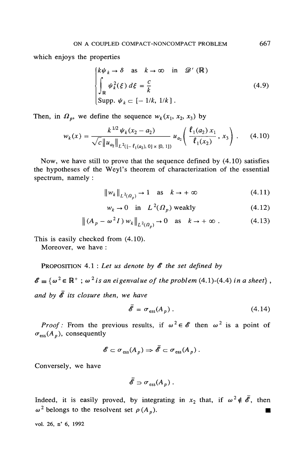which enjoys the properties

$$
\begin{cases}\nk\psi_k \to \delta \quad \text{as} \quad k \to \infty \quad \text{in} \quad \mathcal{D}'(\mathbb{R}) \\
\int_{\mathbb{R}} \psi_k^2(\xi) \, d\xi = \frac{c}{k} \\
\text{Supp. } \psi_k \subset [-1/k, 1/k] \, .\n\end{cases} \tag{4.9}
$$

Then, in  $\Omega_n$ , we define the sequence  $w_k(x_1, x_2, x_3)$  by

$$
w_k(x) = \frac{k^{1/2} \psi_k(x_2 - a_2)}{\sqrt{c} \|u_{a_2}\|_{L^2([-{\ell_1(a_2), 0] \times [0, 1]})}} u_{a_2}\left(\frac{\ell_1(a_2) x_1}{\ell_1(x_2)}, x_3\right).
$$
 (4.10)

Now, we have still to prove that the sequence defined by  $(4.10)$  satisfies the hypotheses of the Weyl's theorem of characterization of the essential spectrum, namely :

$$
||w_k||_{L^2(\Omega_1)} \to 1 \quad \text{as} \quad k \to +\infty \tag{4.11}
$$

$$
w_k \to 0 \quad \text{in} \quad L^2(\Omega_p) \text{ weakly}
$$
\n
$$
(4.12)
$$

$$
\|(A_p - \omega^2 I) w_k\|_{L^2(\Omega_p)} \to 0 \quad \text{as} \quad k \to +\infty. \tag{4.13}
$$

This is easily checked from  $(4.10)$ .

Moreover, we have:

PROPOSITION 4.1 : Let us denote by  $\mathscr E$  the set defined by

 $\mathscr{E} \equiv {\omega^2 \in \mathbb{R}^+}$ ;  $\omega^2$  is an eigenvalue of the problem (4.1)-(4.4) in a sheet}, and by  $\bar{\mathscr{E}}$  its closure then, we have

$$
\bar{\mathscr{E}} = \sigma_{\rm ess}(A_p) \,. \tag{4.14}
$$

*Proof*: From the previous results, if  $\omega^2 \in \mathscr{E}$  then  $\omega^2$  is a point of  $\sigma_{\text{ess}}(A_p)$ , consequently

$$
\mathscr{E} \subset \sigma_{\text{ess}}(A_p) \Rightarrow \mathscr{E} \subset \sigma_{\text{ess}}(A_p).
$$

Conversely, we have

$$
\overline{\mathscr{E}} \supset \sigma_{\text{ess}}(A_p) .
$$

Indeed, it is easily proved, by integrating in  $x_2$  that, if  $\omega^2 \notin \overline{\mathscr{E}}$ , then  $\omega^2$  belongs to the resolvent set  $\rho(A_p)$ .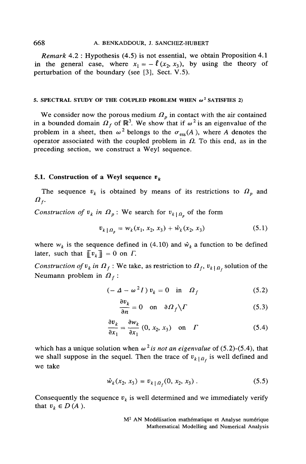#### 668 A. BENKADDOUR, J. SANCHEZ-HUBERT

*Remark* 4.2 : Hypothesis (4.5) is not essential, we obtain Proposition 4.1 in the general case, where  $x_1 = -l(x_2, x_3)$ , by using the theory of perturbation of the boundary (see [3], Sect. V.5).

#### 5. SPECTRAL STUDY OF THE COUPLED PROBLEM WHEN  $\omega^2$  SATISFIES 2)

We consider now the porous medium  $\Omega_p$  in contact with the air contained<br>in a bounded domain  $\Omega_f$  of  $\mathbb{R}^3$ . We show that if  $\omega^2$  is an eigenvalue of the problem in a sheet, then  $\omega^2$  belongs to the  $\sigma_{\rm ess}(A)$ , where A denotes the operator associated with the coupled problem in  $\Omega$ . To this end, as in the preceding section, we construct a Weyl sequence.

#### 5.1. Construction of a Weyl sequence  $v_k$

The sequence  $v_k$  is obtained by means of its restrictions to  $\Omega_p$  and  $\boldsymbol{a}_t$ 

Construction of  $v_k$  in  $\Omega_p$ : We search for  $v_{k|_{\Omega_p}}$  of the form

$$
v_{k+0} = w_k(x_1, x_2, x_3) + \hat{w}_k(x_2, x_3)
$$
 (5.1)

where  $w_k$  is the sequence defined in (4.10) and  $\hat{w}_k$  a function to be defined later, such that  $\|\[\mathbf{v}_k\]\| = 0$  on  $\Gamma$ .

Construction of  $v_k$  in  $\Omega_f$ : We take, as restriction to  $\Omega_f$ ,  $v_{k\mid\Omega_f}$  solution of the Neumann problem in  $\Omega_f$ :

$$
(-\Delta - \omega^2 I) v_k = 0 \quad \text{in} \quad \Omega_f \tag{5.2}
$$

$$
\frac{\partial v_k}{\partial n} = 0 \quad \text{on} \quad \partial \Omega_f \backslash \Gamma \tag{5.3}
$$

$$
\frac{\partial v_k}{\partial x_1} = \frac{\partial w_k}{\partial x_1} (0, x_2, x_3) \quad \text{on} \quad \Gamma \tag{5.4}
$$

which has a unique solution when  $\omega^2$  is not an eigenvalue of (5.2)-(5.4), that we shall suppose in the sequel. Then the trace of  $v_{k}$  at is well defined and we take

$$
\hat{w}_k(x_2, x_3) = v_{k \mid \Omega_f}(0, x_2, x_3). \tag{5.5}
$$

Consequently the sequence  $v_k$  is well determined and we immediately verify that  $v_k \in D(A)$ .

> M<sup>2</sup> AN Modélisation mathématique et Analyse numérique Mathematical Modelling and Numerical Analysis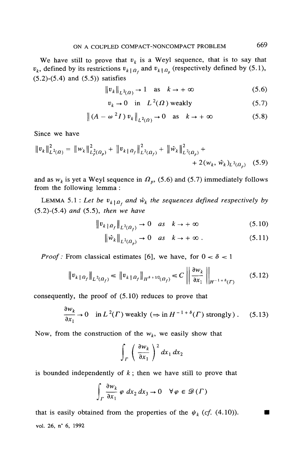We have still to prove that  $v_k$  is a Weyl sequence, that is to say that  $v_k$ , defined by its restrictions  $v_{k|_{q_t}}$  and  $v_{k|_{q_s}}$  (respectively defined by (5.1),  $(5.2)$ - $(5.4)$  and  $(5.5)$ ) satisfies

$$
\|v_k\|_{L^2(\Omega)} \to 1 \quad \text{as} \quad k \to +\infty \tag{5.6}
$$

$$
v_k \to 0 \quad \text{in} \quad L^2(\Omega) \text{ weakly}
$$
 (5.7)

$$
\|(A - \omega^2 I) v_k\|_{L^2(\Omega)} \to 0 \quad \text{as} \quad k \to +\infty \tag{5.8}
$$

Since we have

$$
||v_k||_{L^2(\Omega)}^2 = ||w_k||_{L^2(\Omega_p)}^2 + ||v_k||_{L^2(\Omega_f)}^2 + ||\hat{w}_k||_{L^2(\Omega_p)}^2 + + 2(w_k, \hat{w}_k)_{L^2(\Omega_p)} \quad (5.9)
$$

and as  $w_k$  is yet a Weyl sequence in  $\Omega_p$ , (5.6) and (5.7) immediately follows from the following lemma:

LEMMA 5.1 : Let be  $v_{k\vert\Omega_{\ell}}$  and  $\hat{w}_k$  the sequences defined respectively by  $(5.2)$ - $(5.4)$  and  $(5.5)$ , then we have

$$
\|v_{k}\|_{\Omega_f}\|_{L^2(\Omega_f)} \to 0 \quad \text{as} \quad k \to +\infty \tag{5.10}
$$

$$
\left\|\hat{w}_k\right\|_{L^2(\Omega_p)} \to 0 \quad \text{as} \quad k \to +\infty \tag{5.11}
$$

*Proof*: From classical estimates [6], we have, for  $0 < \delta < 1$ 

$$
\|v_{k\,|\,\Omega_f}\|_{L^2(\Omega_f)} \le \|v_{k\,|\,\Omega_f}\|_{H^{\delta+1/2}(\Omega_f)} \le C \left\| \frac{\partial w_k}{\partial x_1} \right\|_{H^{-1+\delta}(T)} \tag{5.12}
$$

consequently, the proof of  $(5.10)$  reduces to prove that

$$
\frac{\partial w_k}{\partial x_1} \to 0 \quad \text{in } L^2(\Gamma) \text{ weakly } (\Rightarrow \text{in } H^{-1+\delta}(\Gamma) \text{ strongly } ). \tag{5.13}
$$

Now, from the construction of the  $w_k$ , we easily show that

$$
\int_{\Gamma} \left( \frac{\partial w_k}{\partial x_1} \right)^2 dx_1 dx_2
$$

is bounded independently of  $k$ ; then we have still to prove that

$$
\int_{\Gamma} \frac{\partial w_k}{\partial x_1} \varphi \, dx_2 \, dx_3 \to 0 \quad \forall \varphi \in \mathscr{D}(\Gamma)
$$

that is easily obtained from the properties of the  $\psi_k$  (cf. (4.10)). vol. 26, n° 6, 1992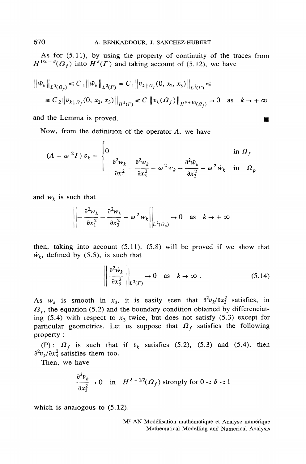As for (5.11), by using the property of continuity of the traces from  $H^{1/2 + \delta}(\Omega_f)$  into  $H^{\delta}(\Gamma)$  and taking account of (5.12), we have

$$
\begin{aligned} \left\| \hat{w}_k \right\|_{L^2(\Omega_\rho)} &\leq C_1 \left\| \hat{w}_k \right\|_{L^2(\Gamma)} = C_1 \left\| v_{k \,|\,\Omega_f}(0, \, x_2, \, x_3) \right\|_{L^2(\Gamma)} \leq \\ &\leq C_2 \left\| v_{k \,|\,\Omega_f}(0, \, x_2, \, x_3) \right\|_{H^{\delta}(\Gamma)} \leq C \left\| v_k(\Omega_f) \right\|_{H^{\delta + 1/2}(\Omega_f)} \to 0 \quad \text{as} \quad k \to +\infty \end{aligned}
$$

and the Lemma is proved.

Now, from the definition of the operator A, we have

$$
(A - \omega^2 I) v_k = \begin{cases} 0 & \text{in } \Omega_f \\ -\frac{\partial^2 w_k}{\partial x_1^2} - \frac{\partial^2 w_k}{\partial x_3^2} - \omega^2 w_k - \frac{\partial^2 \hat{w}_k}{\partial x_3^2} - \omega^2 \hat{w}_k & \text{in } \Omega_p \end{cases}
$$

and  $w_k$  is such that

$$
\left\| -\frac{\partial^2 w_k}{\partial x_1^2} - \frac{\partial^2 w_k}{\partial x_3^2} - \omega^2 w_k \right\|_{L^2(\Omega_p)} \to 0 \quad \text{as} \quad k \to +\infty
$$

then, taking into account  $(5.11)$ ,  $(5.8)$  will be proved if we show that  $\hat{w}_k$ , defined by (5.5), is such that

$$
\left\| \frac{\partial^2 \hat{w}_k}{\partial x_3^2} \right\|_{L^2(\Gamma)} \to 0 \quad \text{as} \quad k \to \infty \ . \tag{5.14}
$$

▬

As  $w_k$  is smooth in  $x_3$ , it is easily seen that  $\frac{\partial^2 v_k}{\partial x_3^2}$  satisfies, in  $\Omega_f$ , the equation (5.2) and the boundary condition obtained by differenciating (5.4) with respect to  $x_3$  twice, but does not satisfy (5.3) except for particular geometries. Let us suppose that  $\Omega_f$  satisfies the following property:

(P):  $\Omega_f$  is such that if  $v_k$  satisfies (5.2), (5.3) and (5.4), then  $\partial^2 v_{\nu}/\partial x_3^2$  satisfies them too.

Then, we have

$$
\frac{\partial^2 v_k}{\partial x_3^2} \to 0 \quad \text{in} \quad H^{\delta + 1/2}(\Omega_f) \text{ strongly for } 0 < \delta < 1
$$

which is analogous to  $(5.12)$ .

M<sup>2</sup> AN Modélisation mathématique et Analyse numérique Mathematical Modelling and Numerical Analysis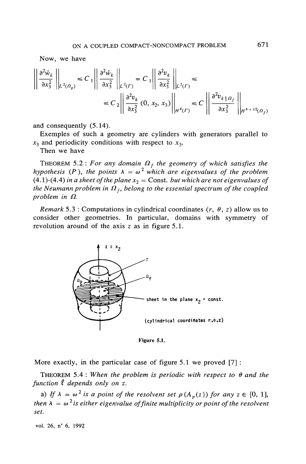Now, we have

$$
\left\| \frac{\partial^2 \hat{w}_k}{\partial x_3^2} \right\|_{L^2(\Omega_\rho)} \le C_1 \left\| \frac{\partial^2 \hat{w}_k}{\partial x_3^2} \right\|_{L^2(\Gamma)} = C_1 \left\| \frac{\partial^2 v_k}{\partial x_3^2} \right\|_{L^2(\Gamma)} \le
$$
  

$$
\le C_2 \left\| \frac{\partial^2 v_k}{\partial x_3^2} (0, x_2, x_3) \right\|_{H^{\delta}(\Gamma)} \le C \left\| \frac{\partial^2 v_{k \uparrow \Omega_f}}{\partial x_3^2} \right\|_{H^{\delta + 1/2}(\Omega_f)}
$$

and consequently  $(5.14)$ .

Exemples of such a geometry are cylinders with generators parallel to  $x_3$  and periodicity conditions with respect to  $x_3$ .

Then we have

THEOREM 5.2 : For any domain  $\Omega_f$  the geometry of which satisfies the hypothesis (P), the points  $\lambda = \omega^2$  which are eigenvalues of the problem  $(4.1)-(4.4)$  in a sheet of the plane  $x<sub>2</sub> =$  Const. but which are not eigenvalues of the Neumann problem in  $\Omega_f$ , belong to the essential spectrum of the coupled problem in  $\Omega$ .

*Remark* 5.3 : Computations in cylindrical coordinates  $(r, \theta, z)$  allow us to consider other geometries. In particular, domains with symmetry of revolution around of the axis  $z$  as in figure 5.1.



Figure 5.1.

More exactly, in the particular case of figure  $5.1$  we proved  $[7]$ :

THEOREM 5.4 : When the problem is periodic with respect to  $\theta$  and the function  $\ell$  depends only on z.

a) If  $\lambda = \omega^2$  is a point of the resolvent set  $\rho(A_p(z))$  for any  $z \in [0, 1]$ , then  $\lambda = \omega^2$  is either eigenvalue of finite multiplicity or point of the resolvent set.